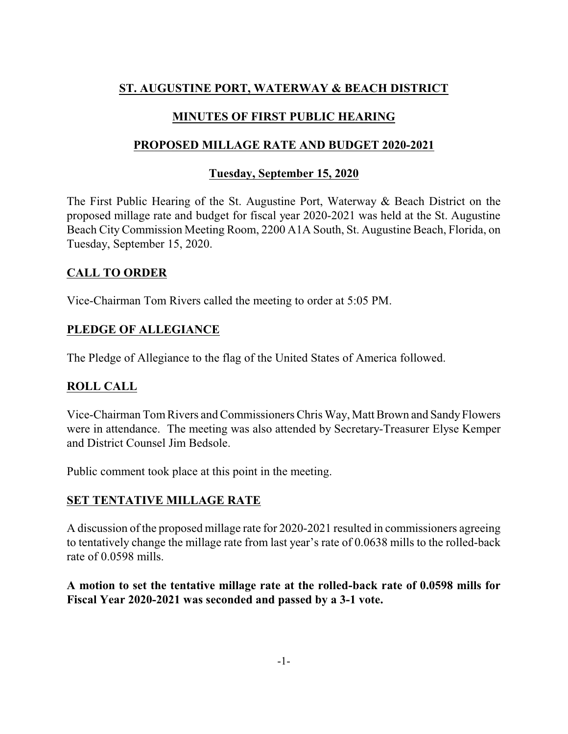# **ST. AUGUSTINE PORT, WATERWAY & BEACH DISTRICT**

## **MINUTES OF FIRST PUBLIC HEARING**

## **PROPOSED MILLAGE RATE AND BUDGET 2020-2021**

## **Tuesday, September 15, 2020**

The First Public Hearing of the St. Augustine Port, Waterway & Beach District on the proposed millage rate and budget for fiscal year 2020-2021 was held at the St. Augustine Beach CityCommission Meeting Room, 2200 A1A South, St. Augustine Beach, Florida, on Tuesday, September 15, 2020.

## **CALL TO ORDER**

Vice-Chairman Tom Rivers called the meeting to order at 5:05 PM.

## **PLEDGE OF ALLEGIANCE**

The Pledge of Allegiance to the flag of the United States of America followed.

# **ROLL CALL**

Vice-Chairman Tom Rivers and Commissioners Chris Way, Matt Brown and SandyFlowers were in attendance. The meeting was also attended by Secretary-Treasurer Elyse Kemper and District Counsel Jim Bedsole.

Public comment took place at this point in the meeting.

## **SET TENTATIVE MILLAGE RATE**

A discussion of the proposed millage rate for 2020-2021 resulted in commissioners agreeing to tentatively change the millage rate from last year's rate of 0.0638 mills to the rolled-back rate of 0.0598 mills.

**A motion to set the tentative millage rate at the rolled-back rate of 0.0598 mills for Fiscal Year 2020-2021 was seconded and passed by a 3-1 vote.**